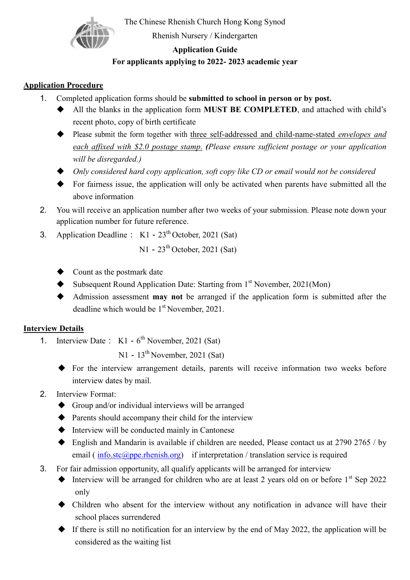

The Chinese Rhenish Church Hong Kong Synod

Rhenish Nursery / Kindergarten

#### **Application Guide**

# **For applicants applying to 2022- 2023 academic year**

### **Application Procedure**

- 1. Completed application forms should be **submitted to school in person or by post.**
	- All the blanks in the application form **MUST BE COMPLETED**, and attached with child's recent photo, copy of birth certificate
	- Please submit the form together with three self-addressed and child-name-stated *envelopes and each affixed with \$2.0 postage stamp. (Please ensure sufficient postage or your application will be disregarded.)*
	- *Only considered hard copy application, soft copy like CD or email would not be considered*
	- For fairness issue, the application will only be activated when parents have submitted all the above information
- 2. You will receive an application number after two weeks of your submission. Please note down your application number for future reference.
- 3. Application Deadline :  $K1 23<sup>th</sup>$  October, 2021 (Sat)

 $N1 - 23<sup>th</sup>$  October, 2021 (Sat)

- Count as the postmark date
- ◆ Subsequent Round Application Date: Starting from 1<sup>st</sup> November, 2021(Mon)
- Admission assessment **may not** be arranged if the application form is submitted after the deadline which would be 1<sup>st</sup> November, 2021.

## **Interview Details**

1. Interview Date:  $K1 - 6^{th}$  November, 2021 (Sat)

 $N1 - 13<sup>th</sup>$  November, 2021 (Sat)

- For the interview arrangement details, parents will receive information two weeks before interview dates by mail.
- 2. Interview Format:
	- Group and/or individual interviews will be arranged
	- Parents should accompany their child for the interview
	- Interview will be conducted mainly in Cantonese
	- $\blacklozenge$  English and Mandarin is available if children are needed, Please contact us at 2790 2765 / by email ( $info.set(\widehat{a} )$  ppe. rhenish.org) if interpretation / translation service is required
- 3. For fair admission opportunity, all qualify applicants will be arranged for interview
	- $\blacklozenge$  Interview will be arranged for children who are at least 2 years old on or before  $1^{st}$  Sep 2022 only
	- Children who absent for the interview without any notification in advance will have their school places surrendered
	- $\blacklozenge$  If there is still no notification for an interview by the end of May 2022, the application will be considered as the waiting list